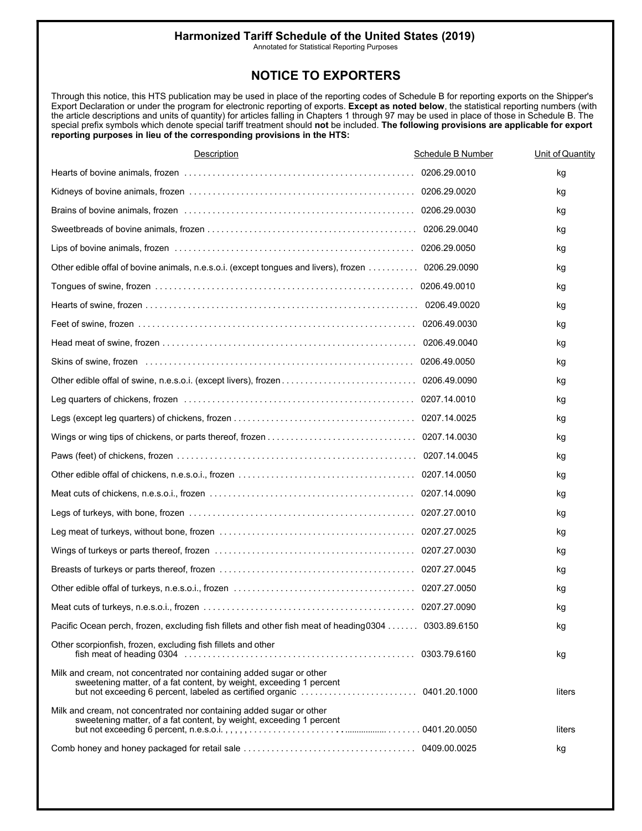Annotated for Statistical Reporting Purposes

#### **NOTICE TO EXPORTERS**

Through this notice, this HTS publication may be used in place of the reporting codes of Schedule B for reporting exports on the Shipper's Export Declaration or under the program for electronic reporting of exports. **Except as noted below**, the statistical reporting numbers (with the article descriptions and units of quantity) for articles falling in Chapters 1 through 97 may be used in place of those in Schedule B. The special prefix symbols which denote special tariff treatment should **not** be included. **The following provisions are applicable for export reporting purposes in lieu of the corresponding provisions in the HTS:** 

| <b>Description</b>                                                                                                                          | Schedule B Number | Unit of Quantity |
|---------------------------------------------------------------------------------------------------------------------------------------------|-------------------|------------------|
|                                                                                                                                             | 0206.29.0010      | kg               |
|                                                                                                                                             |                   | kg               |
|                                                                                                                                             |                   | kg               |
|                                                                                                                                             |                   | kg               |
|                                                                                                                                             |                   | kg               |
| Other edible offal of bovine animals, n.e.s.o.i. (except tongues and livers), frozen 0206.29.0090                                           |                   | kg               |
|                                                                                                                                             |                   | kg               |
|                                                                                                                                             |                   | kg               |
|                                                                                                                                             |                   | kg               |
|                                                                                                                                             |                   | kg               |
|                                                                                                                                             |                   | kg               |
|                                                                                                                                             |                   | kg               |
|                                                                                                                                             |                   | kg               |
|                                                                                                                                             |                   | kg               |
|                                                                                                                                             |                   | kg               |
|                                                                                                                                             |                   | kg               |
|                                                                                                                                             |                   | kg               |
|                                                                                                                                             |                   | kg               |
| Legs of turkeys, with bone, frozen memory contains to contain the container of turkeys, with bone, frozen memo                              |                   | kg               |
|                                                                                                                                             |                   | kg               |
|                                                                                                                                             |                   | kg               |
|                                                                                                                                             |                   | kg               |
|                                                                                                                                             |                   | kg               |
|                                                                                                                                             |                   | kg               |
| Pacific Ocean perch, frozen, excluding fish fillets and other fish meat of heading 0304  0303.89.6150                                       |                   | kg               |
| Other scorpionfish, frozen, excluding fish fillets and other                                                                                |                   | kg               |
| Milk and cream, not concentrated nor containing added sugar or other<br>sweetening matter, of a fat content, by weight, exceeding 1 percent |                   | liters           |
| Milk and cream, not concentrated nor containing added sugar or other<br>sweetening matter, of a fat content, by weight, exceeding 1 percent |                   | liters           |
|                                                                                                                                             |                   | kg               |
|                                                                                                                                             |                   |                  |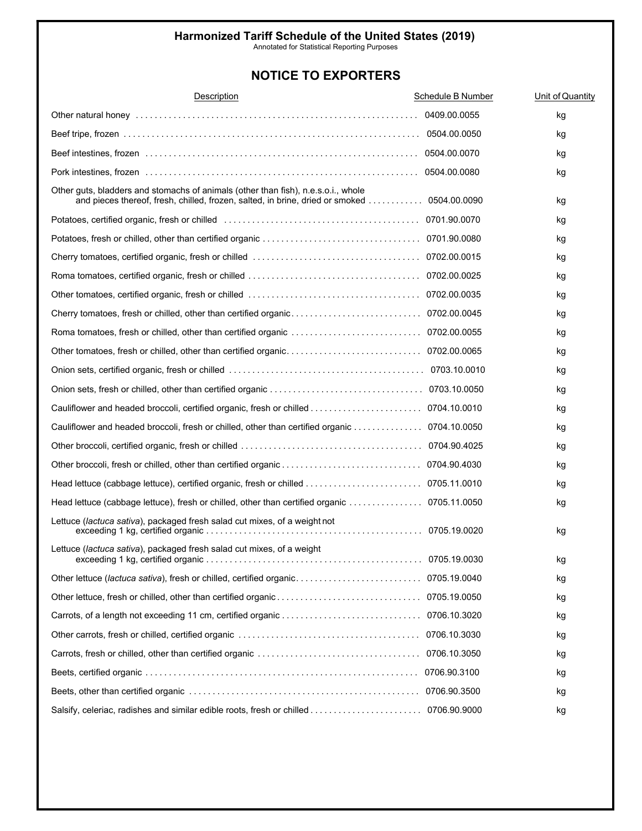Annotated for Statistical Reporting Purposes

| Description                                                                                                                                                        | <b>Schedule B Number</b> | Unit of Quantity |
|--------------------------------------------------------------------------------------------------------------------------------------------------------------------|--------------------------|------------------|
|                                                                                                                                                                    | 0409.00.0055             | kg               |
|                                                                                                                                                                    |                          | kg               |
|                                                                                                                                                                    |                          | kg               |
|                                                                                                                                                                    |                          | kg               |
| Other guts, bladders and stomachs of animals (other than fish), n.e.s.o.i., whole<br>and pieces thereof, fresh, chilled, frozen, salted, in brine, dried or smoked | 0504.00.0090             | kg               |
| Potatoes, certified organic, fresh or chilled (entertainment containment and the containment of 701.90.0070                                                        |                          | kg               |
|                                                                                                                                                                    |                          | kg               |
|                                                                                                                                                                    |                          | kg               |
|                                                                                                                                                                    |                          | kg               |
|                                                                                                                                                                    |                          | kg               |
|                                                                                                                                                                    |                          | kg               |
|                                                                                                                                                                    |                          | kg               |
|                                                                                                                                                                    |                          | kg               |
|                                                                                                                                                                    |                          | kg               |
|                                                                                                                                                                    |                          | kg               |
|                                                                                                                                                                    |                          | kg               |
| Cauliflower and headed broccoli, fresh or chilled, other than certified organic 0704.10.0050                                                                       |                          | kg               |
|                                                                                                                                                                    |                          | kg               |
|                                                                                                                                                                    |                          | kg               |
|                                                                                                                                                                    |                          | kg               |
| Head lettuce (cabbage lettuce), fresh or chilled, other than certified organic  0705.11.0050                                                                       |                          | kg               |
| Lettuce (lactuca sativa), packaged fresh salad cut mixes, of a weight not                                                                                          |                          | kg               |
| Lettuce (lactuca sativa), packaged fresh salad cut mixes, of a weight<br>exceeding 1 kg, certified organic                                                         | 0705.19.0030             | kg               |
|                                                                                                                                                                    |                          | kg               |
|                                                                                                                                                                    |                          | kg               |
|                                                                                                                                                                    |                          | kg               |
|                                                                                                                                                                    | 0706.10.3030             | kg               |
|                                                                                                                                                                    |                          | kg               |
|                                                                                                                                                                    | 0706.90.3100             | kg               |
|                                                                                                                                                                    |                          | kg               |
|                                                                                                                                                                    |                          | kg               |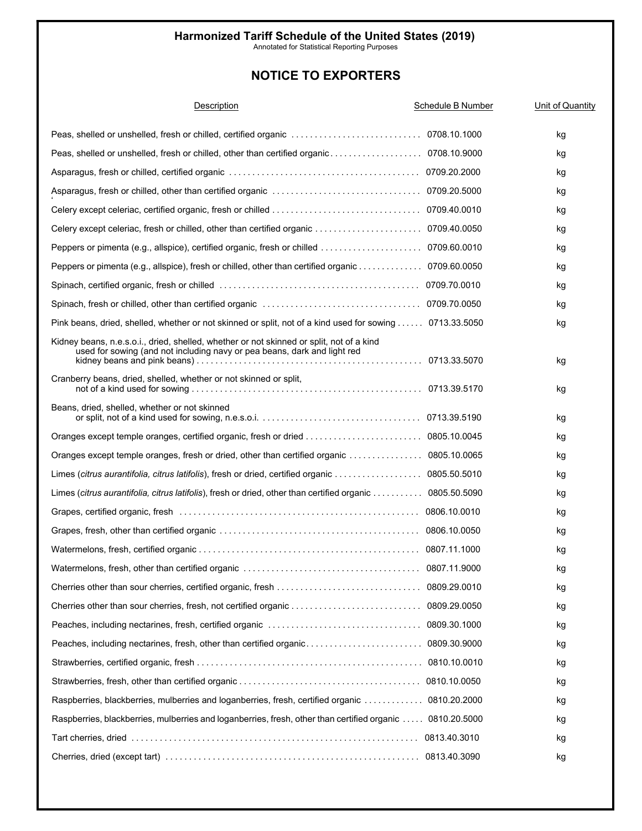Annotated for Statistical Reporting Purposes

| Description                                                                                                                                                          | Schedule B Number | Unit of Quantity |
|----------------------------------------------------------------------------------------------------------------------------------------------------------------------|-------------------|------------------|
|                                                                                                                                                                      |                   | kg               |
|                                                                                                                                                                      |                   | kg               |
|                                                                                                                                                                      |                   | kg               |
|                                                                                                                                                                      |                   | kg               |
|                                                                                                                                                                      |                   | kg               |
|                                                                                                                                                                      |                   | kg               |
|                                                                                                                                                                      |                   | kg               |
| Peppers or pimenta (e.g., allspice), fresh or chilled, other than certified organic 0709.60.0050                                                                     |                   | kg               |
|                                                                                                                                                                      |                   | kg               |
|                                                                                                                                                                      |                   | kg               |
| Pink beans, dried, shelled, whether or not skinned or split, not of a kind used for sowing 0713.33.5050                                                              |                   | kg               |
| Kidney beans, n.e.s.o.i., dried, shelled, whether or not skinned or split, not of a kind<br>used for sowing (and not including navy or pea beans, dark and light red |                   | kg               |
| Cranberry beans, dried, shelled, whether or not skinned or split,                                                                                                    |                   | kg               |
| Beans, dried, shelled, whether or not skinned                                                                                                                        |                   | kg               |
|                                                                                                                                                                      |                   | kg               |
| Oranges except temple oranges, fresh or dried, other than certified organic  0805.10.0065                                                                            |                   | kg               |
| Limes (citrus aurantifolia, citrus latifolis), fresh or dried, certified organic 0805.50.5010                                                                        |                   | kg               |
| Limes (citrus aurantifolia, citrus latifolis), fresh or dried, other than certified organic 0805.50.5090                                                             |                   | kg               |
|                                                                                                                                                                      |                   | kg               |
|                                                                                                                                                                      |                   | kg               |
|                                                                                                                                                                      |                   | kg               |
|                                                                                                                                                                      |                   | kg               |
|                                                                                                                                                                      |                   | kg               |
|                                                                                                                                                                      |                   | kg               |
|                                                                                                                                                                      |                   | kg               |
|                                                                                                                                                                      |                   | kg               |
|                                                                                                                                                                      |                   | kg               |
|                                                                                                                                                                      |                   | kg               |
| Raspberries, blackberries, mulberries and loganberries, fresh, certified organic  0810.20.2000                                                                       |                   | kg               |
| Raspberries, blackberries, mulberries and loganberries, fresh, other than certified organic  0810.20.5000                                                            |                   | kg               |
|                                                                                                                                                                      |                   | kg               |
|                                                                                                                                                                      |                   | kg               |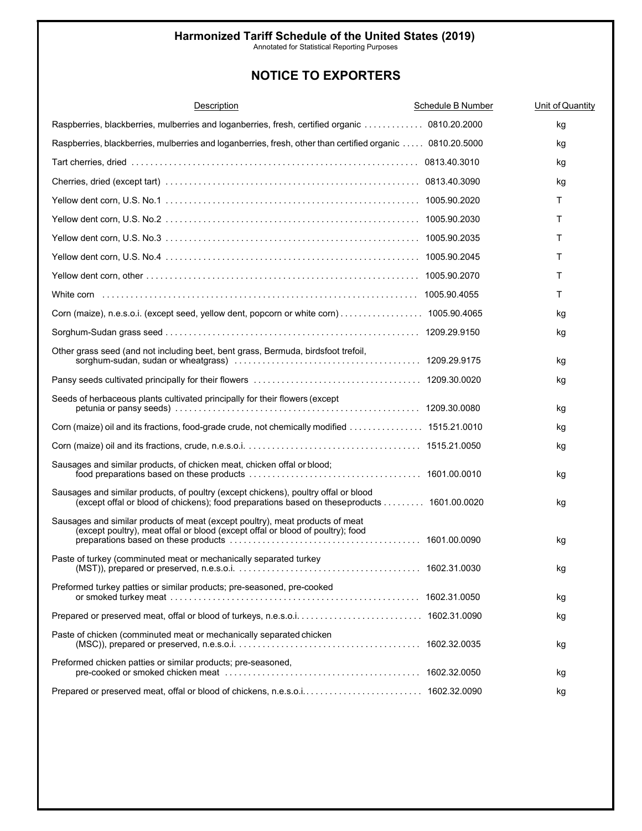Annotated for Statistical Reporting Purposes

| Description                                                                                                                                                                        | Schedule B Number | Unit of Quantity |
|------------------------------------------------------------------------------------------------------------------------------------------------------------------------------------|-------------------|------------------|
| Raspberries, blackberries, mulberries and loganberries, fresh, certified organic  0810.20.2000                                                                                     |                   | kg               |
| Raspberries, blackberries, mulberries and loganberries, fresh, other than certified organic  0810.20.5000                                                                          |                   | kg               |
|                                                                                                                                                                                    |                   | kg               |
|                                                                                                                                                                                    |                   | kg               |
|                                                                                                                                                                                    |                   | т                |
|                                                                                                                                                                                    |                   | т                |
|                                                                                                                                                                                    |                   | т                |
|                                                                                                                                                                                    |                   | т                |
|                                                                                                                                                                                    |                   | т                |
|                                                                                                                                                                                    |                   | т                |
| Corn (maize), n.e.s.o.i. (except seed, yellow dent, popcorn or white corn) 1005.90.4065                                                                                            |                   | kg               |
|                                                                                                                                                                                    |                   | kg               |
| Other grass seed (and not including beet, bent grass, Bermuda, birdsfoot trefoil,                                                                                                  |                   | kg               |
|                                                                                                                                                                                    |                   | kg               |
| Seeds of herbaceous plants cultivated principally for their flowers (except                                                                                                        |                   | kg               |
| Corn (maize) oil and its fractions, food-grade crude, not chemically modified  1515.21.0010                                                                                        |                   | kg               |
|                                                                                                                                                                                    |                   | kg               |
| Sausages and similar products, of chicken meat, chicken offal or blood;                                                                                                            |                   | kg               |
| Sausages and similar products, of poultry (except chickens), poultry offal or blood<br>(except offal or blood of chickens); food preparations based on theseproducts  1601.00.0020 |                   | kg               |
| Sausages and similar products of meat (except poultry), meat products of meat<br>(except poultry), meat offal or blood (except offal or blood of poultry); food                    |                   | kg               |
| Paste of turkey (comminuted meat or mechanically separated turkey                                                                                                                  |                   | kg               |
| Preformed turkey patties or similar products; pre-seasoned, pre-cooked                                                                                                             |                   | kg               |
|                                                                                                                                                                                    |                   | kg               |
| Paste of chicken (comminuted meat or mechanically separated chicken                                                                                                                |                   | kg               |
| Preformed chicken patties or similar products; pre-seasoned,                                                                                                                       |                   | kg               |
|                                                                                                                                                                                    |                   | kg               |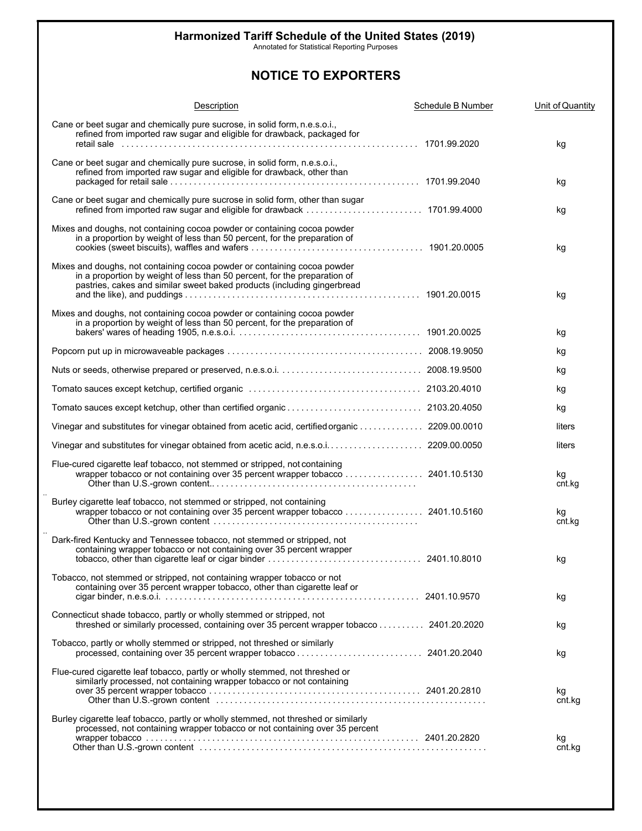Annotated for Statistical Reporting Purposes

| Description                                                                                                                                                                                                                      | <b>Schedule B Number</b> | Unit of Quantity |
|----------------------------------------------------------------------------------------------------------------------------------------------------------------------------------------------------------------------------------|--------------------------|------------------|
| Cane or beet sugar and chemically pure sucrose, in solid form, n.e.s.o.i.,<br>refined from imported raw sugar and eligible for drawback, packaged for                                                                            |                          | kg               |
| Cane or beet sugar and chemically pure sucrose, in solid form, n.e.s.o.i.,<br>refined from imported raw sugar and eligible for drawback, other than                                                                              |                          | kg               |
| Cane or beet sugar and chemically pure sucrose in solid form, other than sugar                                                                                                                                                   |                          | kg               |
| Mixes and doughs, not containing cocoa powder or containing cocoa powder<br>in a proportion by weight of less than 50 percent, for the preparation of                                                                            |                          | kg               |
| Mixes and doughs, not containing cocoa powder or containing cocoa powder<br>in a proportion by weight of less than 50 percent, for the preparation of<br>pastries, cakes and similar sweet baked products (including gingerbread |                          | kg               |
| Mixes and doughs, not containing cocoa powder or containing cocoa powder                                                                                                                                                         |                          | kg               |
|                                                                                                                                                                                                                                  |                          | kg               |
|                                                                                                                                                                                                                                  |                          | kg               |
|                                                                                                                                                                                                                                  |                          | kg               |
|                                                                                                                                                                                                                                  |                          | kg               |
| Vinegar and substitutes for vinegar obtained from acetic acid, certified organic  2209.00.0010                                                                                                                                   |                          | liters           |
| Vinegar and substitutes for vinegar obtained from acetic acid, n.e.s.o.i 2209.00.0050                                                                                                                                            |                          | liters           |
| Flue-cured cigarette leaf tobacco, not stemmed or stripped, not containing                                                                                                                                                       |                          | kg<br>cnt.kg     |
| Burley cigarette leaf tobacco, not stemmed or stripped, not containing                                                                                                                                                           |                          | kg<br>cnt.kg     |
| Dark-fired Kentucky and Tennessee tobacco, not stemmed or stripped, not<br>containing wrapper tobacco or not containing over 35 percent wrapper                                                                                  |                          | kg               |
| Tobacco, not stemmed or stripped, not containing wrapper tobacco or not<br>containing over 35 percent wrapper tobacco, other than cigarette leaf or                                                                              |                          | kg               |
| Connecticut shade tobacco, partly or wholly stemmed or stripped, not<br>threshed or similarly processed, containing over 35 percent wrapper tobacco 2401.20.2020                                                                 |                          | kg               |
| Tobacco, partly or wholly stemmed or stripped, not threshed or similarly                                                                                                                                                         |                          | kg               |
| Flue-cured cigarette leaf tobacco, partly or wholly stemmed, not threshed or<br>similarly processed, not containing wrapper tobacco or not containing                                                                            |                          | kg<br>cnt.kg     |
| Burley cigarette leaf tobacco, partly or wholly stemmed, not threshed or similarly<br>processed, not containing wrapper tobacco or not containing over 35 percent                                                                |                          | kg<br>cnt.kg     |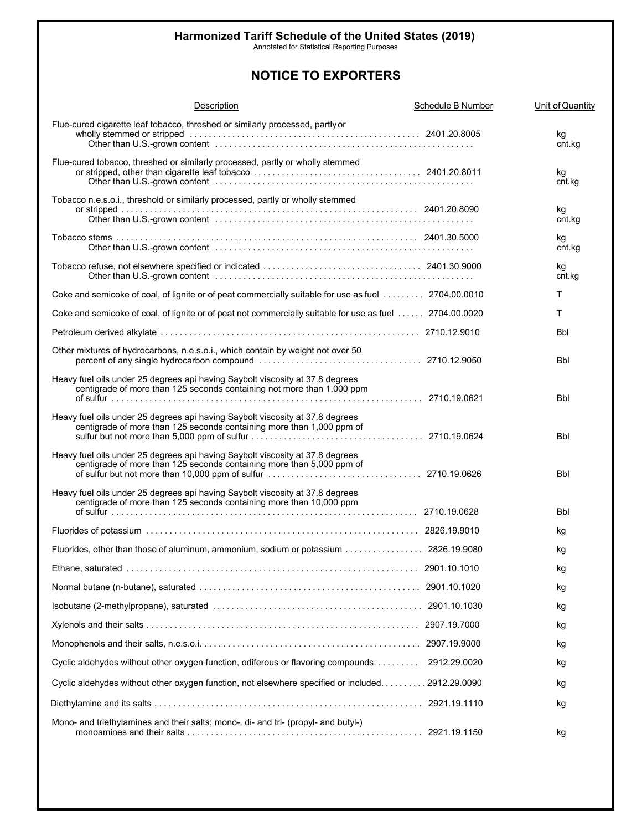Annotated for Statistical Reporting Purposes

| <b>Description</b>                                                                                                                                      | <b>Schedule B Number</b> | Unit of Quantity |
|---------------------------------------------------------------------------------------------------------------------------------------------------------|--------------------------|------------------|
| Flue-cured cigarette leaf tobacco, threshed or similarly processed, partly or                                                                           |                          | kg<br>cnt.kg     |
| Flue-cured tobacco, threshed or similarly processed, partly or wholly stemmed                                                                           |                          | kg<br>cnt.kg     |
| Tobacco n.e.s.o.i., threshold or similarly processed, partly or wholly stemmed                                                                          |                          | kg<br>cnt.kg     |
|                                                                                                                                                         |                          | kg<br>cnt.kg     |
|                                                                                                                                                         |                          | kg<br>cnt.kg     |
| Coke and semicoke of coal, of lignite or of peat commercially suitable for use as fuel 2704.00.0010                                                     |                          | T                |
| Coke and semicoke of coal, of lignite or of peat not commercially suitable for use as fuel  2704.00.0020                                                |                          | т                |
|                                                                                                                                                         |                          | <b>Bbl</b>       |
| Other mixtures of hydrocarbons, n.e.s.o.i., which contain by weight not over 50                                                                         |                          | Bbl              |
| Heavy fuel oils under 25 degrees api having Saybolt viscosity at 37.8 degrees<br>centigrade of more than 125 seconds containing not more than 1,000 ppm |                          | Bbl              |
| Heavy fuel oils under 25 degrees api having Saybolt viscosity at 37.8 degrees<br>centigrade of more than 125 seconds containing more than 1,000 ppm of  |                          | Bbl              |
| Heavy fuel oils under 25 degrees api having Saybolt viscosity at 37.8 degrees<br>centigrade of more than 125 seconds containing more than 5,000 ppm of  |                          | Bbl              |
| Heavy fuel oils under 25 degrees api having Saybolt viscosity at 37.8 degrees<br>centigrade of more than 125 seconds containing more than 10,000 ppm    |                          | Bbl              |
|                                                                                                                                                         |                          | kg               |
| Fluorides, other than those of aluminum, ammonium, sodium or potassium  2826.19.9080                                                                    |                          | kg               |
|                                                                                                                                                         |                          | kg               |
|                                                                                                                                                         |                          | kg               |
|                                                                                                                                                         |                          | kg               |
|                                                                                                                                                         |                          | kg               |
|                                                                                                                                                         |                          | kg               |
| Cyclic aldehydes without other oxygen function, odiferous or flavoring compounds.                                                                       | 2912.29.0020             | kg               |
| Cyclic aldehydes without other oxygen function, not elsewhere specified or included. 2912.29.0090                                                       |                          | kg               |
|                                                                                                                                                         |                          | kg               |
| Mono- and triethylamines and their salts; mono-, di- and tri- (propyl- and butyl-)                                                                      |                          |                  |
|                                                                                                                                                         |                          | kg               |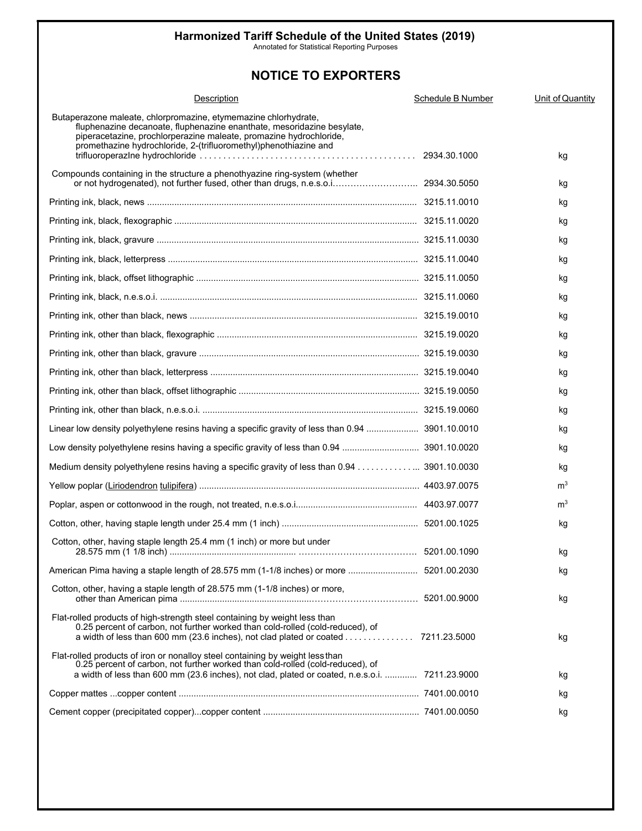Annotated for Statistical Reporting Purposes

| Description                                                                                                                                                                                                                                                                         | Schedule B Number | Unit of Quantity |
|-------------------------------------------------------------------------------------------------------------------------------------------------------------------------------------------------------------------------------------------------------------------------------------|-------------------|------------------|
| Butaperazone maleate, chlorpromazine, etymemazine chlorhydrate,<br>fluphenazine decanoate, fluphenazine enanthate, mesoridazine besylate,<br>piperacetazine, prochlorperazine maleate, promazine hydrochloride,<br>promethazine hydrochloride, 2-(trifluoromethyl)phenothiazine and |                   | kg               |
| Compounds containing in the structure a phenothyazine ring-system (whether                                                                                                                                                                                                          |                   | kg               |
|                                                                                                                                                                                                                                                                                     |                   | kg               |
|                                                                                                                                                                                                                                                                                     |                   | κg               |
|                                                                                                                                                                                                                                                                                     |                   | kg               |
|                                                                                                                                                                                                                                                                                     |                   | κg               |
|                                                                                                                                                                                                                                                                                     |                   | κg               |
|                                                                                                                                                                                                                                                                                     |                   | κg               |
|                                                                                                                                                                                                                                                                                     |                   | κg               |
|                                                                                                                                                                                                                                                                                     |                   | κg               |
|                                                                                                                                                                                                                                                                                     |                   | κg               |
|                                                                                                                                                                                                                                                                                     |                   | κg               |
|                                                                                                                                                                                                                                                                                     |                   | κg               |
|                                                                                                                                                                                                                                                                                     |                   | κg               |
| Linear low density polyethylene resins having a specific gravity of less than 0.94  3901.10.0010                                                                                                                                                                                    |                   | κg               |
|                                                                                                                                                                                                                                                                                     |                   | κg               |
| Medium density polyethylene resins having a specific gravity of less than 0.94 3901.10.0030                                                                                                                                                                                         |                   | κg               |
|                                                                                                                                                                                                                                                                                     |                   | m <sup>3</sup>   |
|                                                                                                                                                                                                                                                                                     |                   | m <sup>3</sup>   |
|                                                                                                                                                                                                                                                                                     |                   | kg               |
| Cotton, other, having staple length 25.4 mm (1 inch) or more but under                                                                                                                                                                                                              |                   | kg               |
|                                                                                                                                                                                                                                                                                     |                   | kg               |
| Cotton, other, having a staple length of 28.575 mm (1-1/8 inches) or more,                                                                                                                                                                                                          |                   | kg               |
| Flat-rolled products of high-strength steel containing by weight less than<br>0.25 percent of carbon, not further worked than cold-rolled (cold-reduced), of                                                                                                                        |                   | kg               |
| Flat-rolled products of iron or nonalloy steel containing by weight less than<br>0.25 percent of carbon, not further worked than cold-rolled (cold-reduced), of<br>a width of less than 600 mm (23.6 inches), not clad, plated or coated, n.e.s.o.i.  7211.23.9000                  |                   | kg               |
|                                                                                                                                                                                                                                                                                     |                   | kg               |
|                                                                                                                                                                                                                                                                                     |                   | kg               |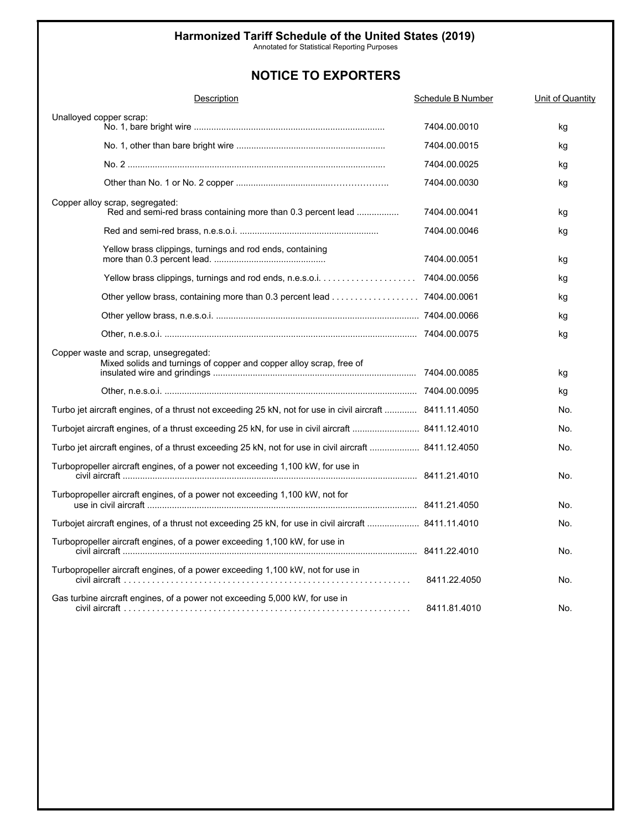Annotated for Statistical Reporting Purposes

| Description                                                                                                  | Schedule B Number | Unit of Quantity |
|--------------------------------------------------------------------------------------------------------------|-------------------|------------------|
| Unalloyed copper scrap:                                                                                      | 7404.00.0010      | kg               |
|                                                                                                              | 7404.00.0015      | kg               |
|                                                                                                              | 7404.00.0025      | kg               |
|                                                                                                              | 7404.00.0030      | kg               |
| Copper alloy scrap, segregated:<br>Red and semi-red brass containing more than 0.3 percent lead              | 7404.00.0041      | kg               |
|                                                                                                              | 7404.00.0046      | kg               |
| Yellow brass clippings, turnings and rod ends, containing                                                    | 7404.00.0051      | kg               |
|                                                                                                              |                   | kg               |
| Other yellow brass, containing more than 0.3 percent lead 7404.00.0061                                       |                   | kg               |
|                                                                                                              |                   | kg               |
|                                                                                                              |                   | kg               |
| Copper waste and scrap, unsegregated:<br>Mixed solids and turnings of copper and copper alloy scrap, free of |                   | kg<br>kg         |
| Turbo jet aircraft engines, of a thrust not exceeding 25 kN, not for use in civil aircraft  8411.11.4050     |                   | No.              |
| Turbojet aircraft engines, of a thrust exceeding 25 kN, for use in civil aircraft  8411.12.4010              |                   | No.              |
| Turbo jet aircraft engines, of a thrust exceeding 25 kN, not for use in civil aircraft  8411.12.4050         |                   | No.              |
| Turbopropeller aircraft engines, of a power not exceeding 1,100 kW, for use in                               |                   | No.              |
| Turbopropeller aircraft engines, of a power not exceeding 1,100 kW, not for                                  |                   | No.              |
| Turbojet aircraft engines, of a thrust not exceeding 25 kN, for use in civil aircraft  8411.11.4010          |                   | No.              |
| Turbopropeller aircraft engines, of a power exceeding 1,100 kW, for use in                                   |                   | No.              |
| Turbopropeller aircraft engines, of a power exceeding 1,100 kW, not for use in                               | 8411.22.4050      | No.              |
| Gas turbine aircraft engines, of a power not exceeding 5,000 kW, for use in                                  | 8411.81.4010      | No.              |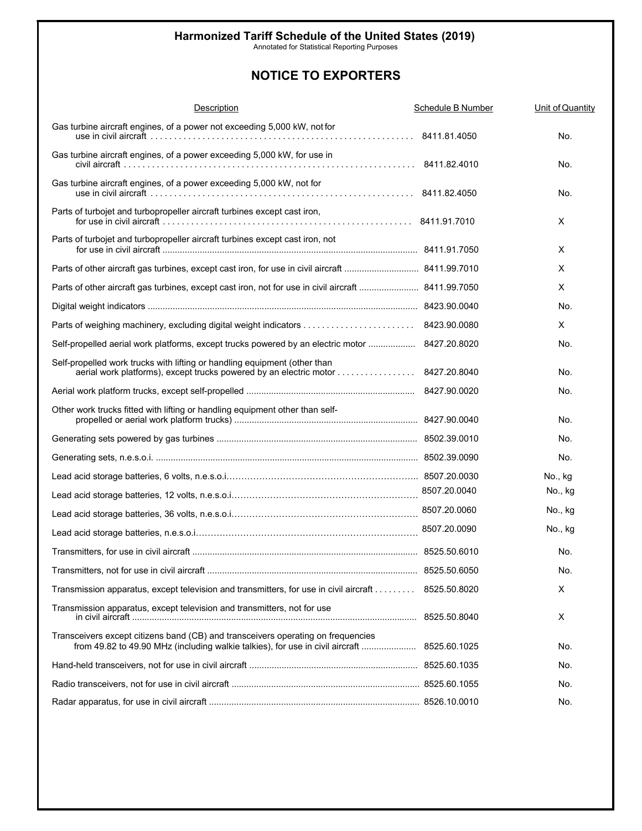Annotated for Statistical Reporting Purposes

| <b>Description</b>                                                                                                                                                              | Schedule B Number | Unit of Quantity |
|---------------------------------------------------------------------------------------------------------------------------------------------------------------------------------|-------------------|------------------|
| Gas turbine aircraft engines, of a power not exceeding 5,000 kW, not for                                                                                                        |                   | No.              |
| Gas turbine aircraft engines, of a power exceeding 5,000 kW, for use in<br>civil aircraft ………………………………………………………………………………… 8411.82.4010                                          |                   | No.              |
| Gas turbine aircraft engines, of a power exceeding 5,000 kW, not for                                                                                                            |                   | No.              |
| Parts of turbojet and turbopropeller aircraft turbines except cast iron,                                                                                                        |                   | X                |
| Parts of turbojet and turbopropeller aircraft turbines except cast iron, not                                                                                                    |                   | X                |
| Parts of other aircraft gas turbines, except cast iron, for use in civil aircraft  8411.99.7010                                                                                 |                   | X                |
| Parts of other aircraft gas turbines, except cast iron, not for use in civil aircraft  8411.99.7050                                                                             |                   | Χ                |
|                                                                                                                                                                                 |                   | No.              |
|                                                                                                                                                                                 |                   | X                |
| Self-propelled aerial work platforms, except trucks powered by an electric motor  8427.20.8020                                                                                  |                   | No.              |
| Self-propelled work trucks with lifting or handling equipment (other than                                                                                                       |                   | No.              |
|                                                                                                                                                                                 |                   | No.              |
| Other work trucks fitted with lifting or handling equipment other than self-                                                                                                    |                   | No.              |
|                                                                                                                                                                                 |                   | No.              |
|                                                                                                                                                                                 |                   | No.              |
|                                                                                                                                                                                 |                   | No., kg          |
|                                                                                                                                                                                 |                   | No., kg          |
|                                                                                                                                                                                 |                   | No., kg          |
|                                                                                                                                                                                 |                   | No., kg          |
|                                                                                                                                                                                 |                   | No.              |
|                                                                                                                                                                                 |                   | No.              |
| Transmission apparatus, except television and transmitters, for use in civil aircraft 8525.50.8020                                                                              |                   | Χ                |
| Transmission apparatus, except television and transmitters, not for use                                                                                                         |                   | Χ                |
| Transceivers except citizens band (CB) and transceivers operating on frequencies<br>from 49.82 to 49.90 MHz (including walkie talkies), for use in civil aircraft  8525.60.1025 |                   | No.              |
|                                                                                                                                                                                 |                   | No.              |
|                                                                                                                                                                                 |                   | No.              |
|                                                                                                                                                                                 |                   | No.              |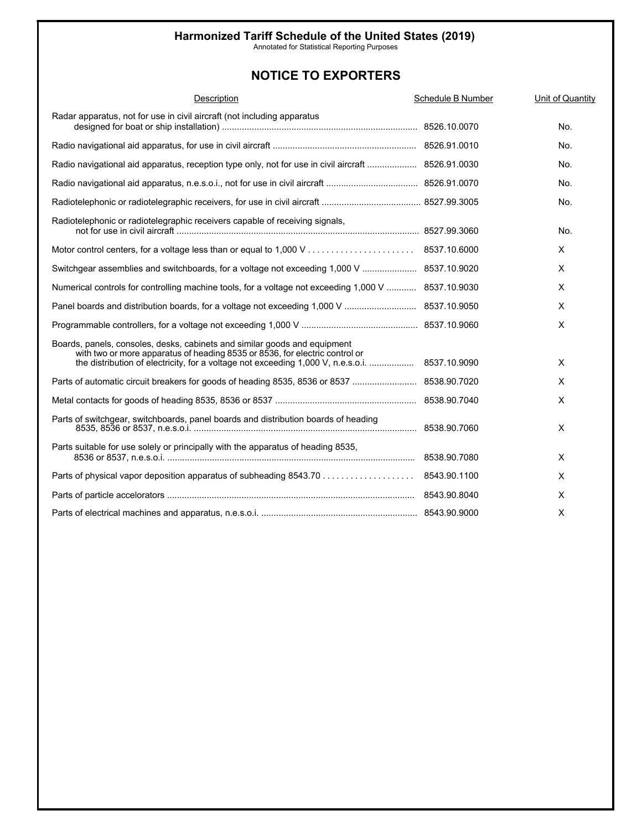Annotated for Statistical Reporting Purposes

| Description                                                                                                                                              | Schedule B Number | Unit of Quantity |
|----------------------------------------------------------------------------------------------------------------------------------------------------------|-------------------|------------------|
| Radar apparatus, not for use in civil aircraft (not including apparatus                                                                                  |                   | No.              |
|                                                                                                                                                          |                   | No.              |
| Radio navigational aid apparatus, reception type only, not for use in civil aircraft  8526.91.0030                                                       |                   | No.              |
|                                                                                                                                                          |                   | No.              |
|                                                                                                                                                          |                   | No.              |
| Radiotelephonic or radiotelegraphic receivers capable of receiving signals,                                                                              |                   | No.              |
|                                                                                                                                                          |                   | X                |
| Switchgear assemblies and switchboards, for a voltage not exceeding 1,000 V  8537.10.9020                                                                |                   | X                |
| Numerical controls for controlling machine tools, for a voltage not exceeding 1,000 V  8537.10.9030                                                      |                   | X                |
| Panel boards and distribution boards, for a voltage not exceeding 1,000 V  8537.10.9050                                                                  |                   | $\times$         |
|                                                                                                                                                          |                   | X                |
| Boards, panels, consoles, desks, cabinets and similar goods and equipment<br>with two or more apparatus of heading 8535 or 8536, for electric control or |                   | X                |
|                                                                                                                                                          |                   | X                |
|                                                                                                                                                          |                   | X                |
| Parts of switchgear, switchboards, panel boards and distribution boards of heading                                                                       |                   | X                |
| Parts suitable for use solely or principally with the apparatus of heading 8535,                                                                         |                   | X                |
| Parts of physical vapor deposition apparatus of subheading 8543.70 8543.90.1100                                                                          |                   | X                |
|                                                                                                                                                          |                   | X                |
|                                                                                                                                                          |                   | Χ                |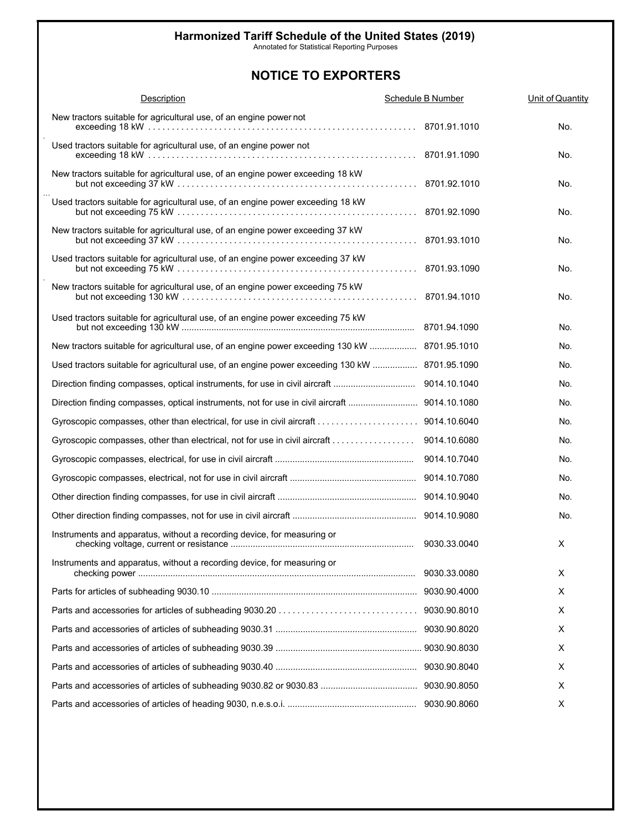Annotated for Statistical Reporting Purposes

| <b>Description</b>                                                                             | Schedule B Number | Unit of Quantity |
|------------------------------------------------------------------------------------------------|-------------------|------------------|
| New tractors suitable for agricultural use, of an engine power not                             |                   | No.              |
| Used tractors suitable for agricultural use, of an engine power not                            |                   | No.              |
| New tractors suitable for agricultural use, of an engine power exceeding 18 kW                 |                   | No.              |
| Used tractors suitable for agricultural use, of an engine power exceeding 18 kW                |                   | No.              |
| New tractors suitable for agricultural use, of an engine power exceeding 37 kW                 |                   | No.              |
| Used tractors suitable for agricultural use, of an engine power exceeding 37 kW                |                   | No.              |
| New tractors suitable for agricultural use, of an engine power exceeding 75 kW                 |                   | No.              |
| Used tractors suitable for agricultural use, of an engine power exceeding 75 kW                |                   | No.              |
| New tractors suitable for agricultural use, of an engine power exceeding 130 kW  8701.95.1010  |                   | No.              |
| Used tractors suitable for agricultural use, of an engine power exceeding 130 kW  8701.95.1090 |                   | No.              |
| Direction finding compasses, optical instruments, for use in civil aircraft                    | 9014.10.1040      | No.              |
|                                                                                                |                   | No.              |
|                                                                                                |                   | No.              |
| Gyroscopic compasses, other than electrical, not for use in civil aircraft                     | 9014.10.6080      | No.              |
|                                                                                                | 9014.10.7040      | No.              |
|                                                                                                |                   | No.              |
|                                                                                                |                   | No.              |
|                                                                                                |                   | No.              |
| Instruments and apparatus, without a recording device, for measuring or                        |                   | X                |
| Instruments and apparatus, without a recording device, for measuring or                        | 9030.33.0080      | X                |
|                                                                                                | 9030.90.4000      | X                |
|                                                                                                | 9030.90.8010      | X                |
|                                                                                                | 9030.90.8020      | X                |
|                                                                                                |                   | X                |
|                                                                                                | 9030.90.8040      | X                |
|                                                                                                | 9030.90.8050      | X                |
|                                                                                                |                   | Χ                |